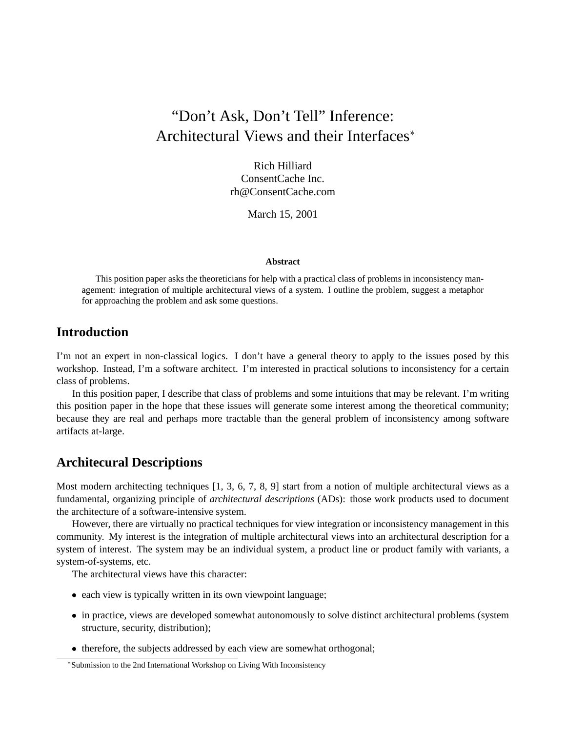# "Don't Ask, Don't Tell" Inference: Architectural Views and their Interfaces<sup>∗</sup>

Rich Hilliard ConsentCache Inc. rh@ConsentCache.com

March 15, 2001

#### **Abstract**

This position paper asks the theoreticians for help with a practical class of problems in inconsistency management: integration of multiple architectural views of a system. I outline the problem, suggest a metaphor for approaching the problem and ask some questions.

## **Introduction**

I'm not an expert in non-classical logics. I don't have a general theory to apply to the issues posed by this workshop. Instead, I'm a software architect. I'm interested in practical solutions to inconsistency for a certain class of problems.

In this position paper, I describe that class of problems and some intuitions that may be relevant. I'm writing this position paper in the hope that these issues will generate some interest among the theoretical community; because they are real and perhaps more tractable than the general problem of inconsistency among software artifacts at-large.

#### **Architecural Descriptions**

Most modern architecting techniques [1, 3, 6, 7, 8, 9] start from a notion of multiple architectural views as a fundamental, organizing principle of *architectural descriptions* (ADs): those work products used to document the architecture of a software-intensive system.

However, there are virtually no practical techniques for view integration or inconsistency management in this community. My interest is the integration of multiple architectural views into an architectural description for a system of interest. The system may be an individual system, a product line or product family with variants, a system-of-systems, etc.

The architectural views have this character:

- each view is typically written in its own viewpoint language;
- in practice, views are developed somewhat autonomously to solve distinct architectural problems (system structure, security, distribution);
- therefore, the subjects addressed by each view are somewhat orthogonal;

<sup>∗</sup> Submission to the 2nd International Workshop on Living With Inconsistency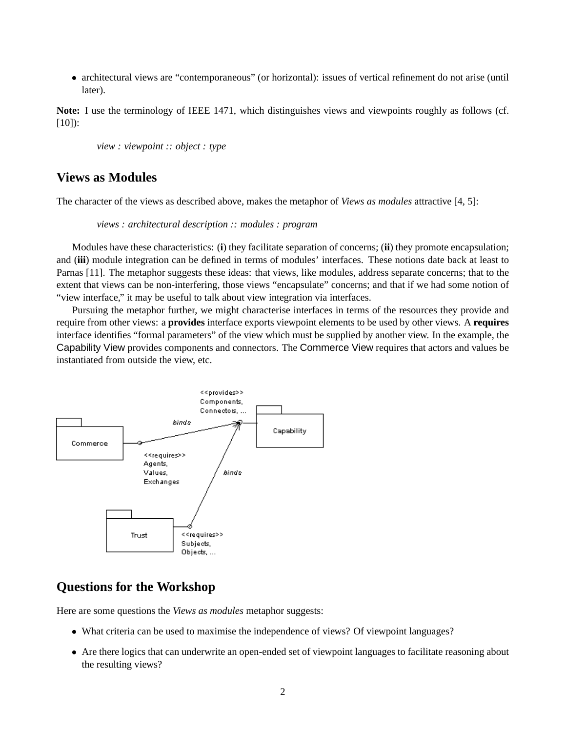• architectural views are "contemporaneous" (or horizontal): issues of vertical refinement do not arise (until later).

**Note:** I use the terminology of IEEE 1471, which distinguishes views and viewpoints roughly as follows (cf. [10]):

*view : viewpoint :: object : type*

### **Views as Modules**

The character of the views as described above, makes the metaphor of *Views as modules* attractive [4, 5]:

*views : architectural description :: modules : program*

Modules have these characteristics: (**i**) they facilitate separation of concerns; (**ii**) they promote encapsulation; and (**iii**) module integration can be defined in terms of modules' interfaces. These notions date back at least to Parnas [11]. The metaphor suggests these ideas: that views, like modules, address separate concerns; that to the extent that views can be non-interfering, those views "encapsulate" concerns; and that if we had some notion of "view interface," it may be useful to talk about view integration via interfaces.

Pursuing the metaphor further, we might characterise interfaces in terms of the resources they provide and require from other views: a **provides** interface exports viewpoint elements to be used by other views. A **requires** interface identifies "formal parameters" of the view which must be supplied by another view. In the example, the Capability View provides components and connectors. The Commerce View requires that actors and values be instantiated from outside the view, etc.



# **Questions for the Workshop**

Here are some questions the *Views as modules* metaphor suggests:

- What criteria can be used to maximise the independence of views? Of viewpoint languages?
- Are there logics that can underwrite an open-ended set of viewpoint languages to facilitate reasoning about the resulting views?